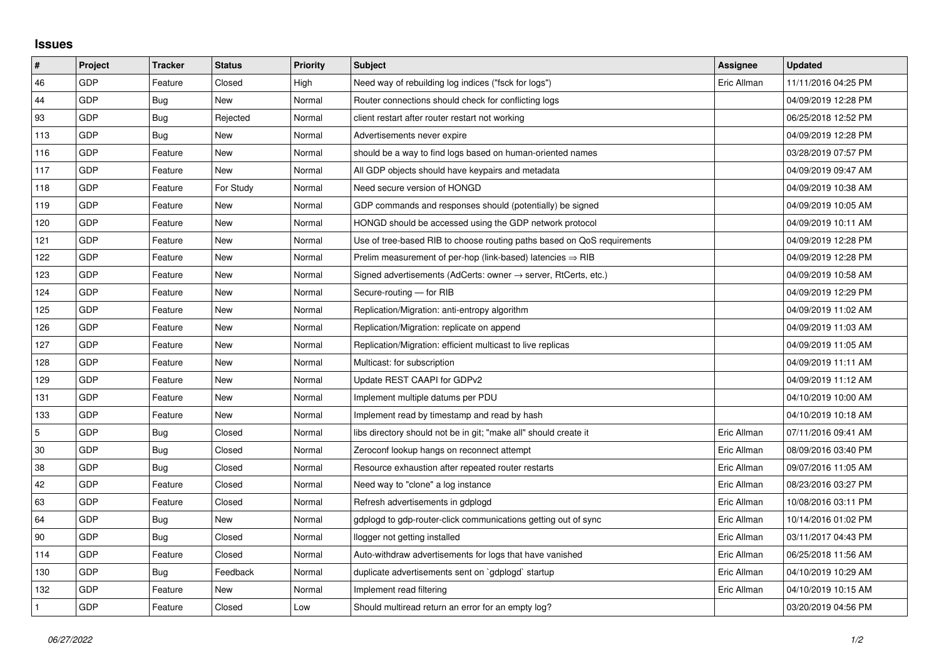## **Issues**

| $\sharp$       | Project | <b>Tracker</b> | <b>Status</b> | <b>Priority</b> | <b>Subject</b>                                                             | Assignee    | <b>Updated</b>      |
|----------------|---------|----------------|---------------|-----------------|----------------------------------------------------------------------------|-------------|---------------------|
| 46             | GDP     | Feature        | Closed        | High            | Need way of rebuilding log indices ("fsck for logs")                       | Eric Allman | 11/11/2016 04:25 PM |
| 44             | GDP     | Bug            | New           | Normal          | Router connections should check for conflicting logs                       |             | 04/09/2019 12:28 PM |
| 93             | GDP     | Bug            | Rejected      | Normal          | client restart after router restart not working                            |             | 06/25/2018 12:52 PM |
| 113            | GDP     | Bug            | New           | Normal          | Advertisements never expire                                                |             | 04/09/2019 12:28 PM |
| 116            | GDP     | Feature        | New           | Normal          | should be a way to find logs based on human-oriented names                 |             | 03/28/2019 07:57 PM |
| 117            | GDP     | Feature        | New           | Normal          | All GDP objects should have keypairs and metadata                          |             | 04/09/2019 09:47 AM |
| 118            | GDP     | Feature        | For Study     | Normal          | Need secure version of HONGD                                               |             | 04/09/2019 10:38 AM |
| 119            | GDP     | Feature        | <b>New</b>    | Normal          | GDP commands and responses should (potentially) be signed                  |             | 04/09/2019 10:05 AM |
| 120            | GDP     | Feature        | New           | Normal          | HONGD should be accessed using the GDP network protocol                    |             | 04/09/2019 10:11 AM |
| 121            | GDP     | Feature        | New           | Normal          | Use of tree-based RIB to choose routing paths based on QoS requirements    |             | 04/09/2019 12:28 PM |
| 122            | GDP     | Feature        | New           | Normal          | Prelim measurement of per-hop (link-based) latencies $\Rightarrow$ RIB     |             | 04/09/2019 12:28 PM |
| 123            | GDP     | Feature        | New           | Normal          | Signed advertisements (AdCerts: owner $\rightarrow$ server, RtCerts, etc.) |             | 04/09/2019 10:58 AM |
| 124            | GDP     | Feature        | <b>New</b>    | Normal          | Secure-routing - for RIB                                                   |             | 04/09/2019 12:29 PM |
| 125            | GDP     | Feature        | New           | Normal          | Replication/Migration: anti-entropy algorithm                              |             | 04/09/2019 11:02 AM |
| 126            | GDP     | Feature        | New           | Normal          | Replication/Migration: replicate on append                                 |             | 04/09/2019 11:03 AM |
| 127            | GDP     | Feature        | New           | Normal          | Replication/Migration: efficient multicast to live replicas                |             | 04/09/2019 11:05 AM |
| 128            | GDP     | Feature        | New           | Normal          | Multicast: for subscription                                                |             | 04/09/2019 11:11 AM |
| 129            | GDP     | Feature        | New           | Normal          | Update REST CAAPI for GDPv2                                                |             | 04/09/2019 11:12 AM |
| 131            | GDP     | Feature        | New           | Normal          | Implement multiple datums per PDU                                          |             | 04/10/2019 10:00 AM |
| 133            | GDP     | Feature        | New           | Normal          | Implement read by timestamp and read by hash                               |             | 04/10/2019 10:18 AM |
| $\overline{5}$ | GDP     | Bug            | Closed        | Normal          | libs directory should not be in git; "make all" should create it           | Eric Allman | 07/11/2016 09:41 AM |
| 30             | GDP     | Bug            | Closed        | Normal          | Zeroconf lookup hangs on reconnect attempt                                 | Eric Allman | 08/09/2016 03:40 PM |
| 38             | GDP     | Bug            | Closed        | Normal          | Resource exhaustion after repeated router restarts                         | Eric Allman | 09/07/2016 11:05 AM |
| 42             | GDP     | Feature        | Closed        | Normal          | Need way to "clone" a log instance                                         | Eric Allman | 08/23/2016 03:27 PM |
| 63             | GDP     | Feature        | Closed        | Normal          | Refresh advertisements in gdplogd                                          | Eric Allman | 10/08/2016 03:11 PM |
| 64             | GDP     | Bug            | New           | Normal          | gdplogd to gdp-router-click communications getting out of sync             | Eric Allman | 10/14/2016 01:02 PM |
| 90             | GDP     | Bug            | Closed        | Normal          | llogger not getting installed                                              | Eric Allman | 03/11/2017 04:43 PM |
| 114            | GDP     | Feature        | Closed        | Normal          | Auto-withdraw advertisements for logs that have vanished                   | Eric Allman | 06/25/2018 11:56 AM |
| 130            | GDP     | Bug            | Feedback      | Normal          | duplicate advertisements sent on `gdplogd` startup                         | Eric Allman | 04/10/2019 10:29 AM |
| 132            | GDP     | Feature        | New           | Normal          | Implement read filtering                                                   | Eric Allman | 04/10/2019 10:15 AM |
| $\mathbf{1}$   | GDP     | Feature        | Closed        | Low             | Should multiread return an error for an empty log?                         |             | 03/20/2019 04:56 PM |